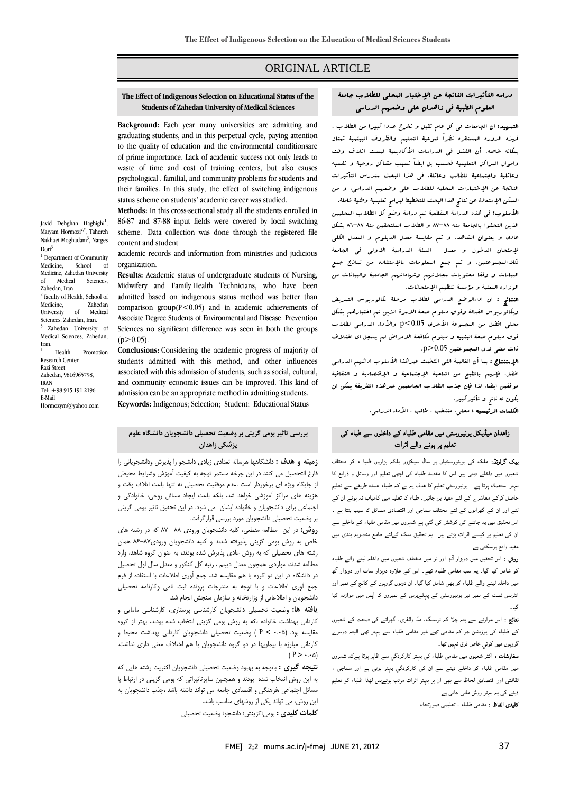## ORIGINAL ARTICLE

# **The Effect of Indigenous Selection on Educational Status of the Students of Zahedan University of Medical Sciences**

Ī  $\overline{a}$ 

 **Background:** Each year many universities are admitting and to the quality of education and the environmental conditionsare of prime importance. Lack of academic success not only leads to waste of time and cost of training centers, but also causes psychological , familial, and community problems for students and status scheme on students' academic career was studied. graduating students, and in this perpetual cycle, paying attention their families. In this study, the effect of switching indigenous

 **Methods:** In this cross-sectional study all the students enrolled in 86-87 and 87-88 input fields were covered by local switching scheme. Data collection was done through the registered file content and student

 academic records and information from ministries and judicious organization.

 **Results:** Academic status of undergraduate students of Nursing, admitted based on indigenous status method was better than comparison group( $P < 0.05$ ) and in academic achievements of Associate Degree Students of Environmental and Disease Prevention Sciences no significant difference was seen in both the groups  $(25.0.05)$ Midwifery and Family Health Technicians, who have been  $(p>0.05)$ .

 **Conclusions:** Considering the academic progress of majority of students admitted with this method, and other influences associated with this admission of students, such as social, cultural, and community economic issues can be improved. This kind admission can be an appropriate method in admitting students. **Keywords:** Indigenous; Selection; Student; Educational Status and community economic issues can be improved. This kind of

Javid Dehghan Haghighi<sup>1</sup>, Maryam Hormozi<sup>2,\*</sup>, Tahereh Nakhaei Moghadam<sup>3</sup>, Narges Dori<sup>3</sup> <sup>1</sup> Department of Community

Medicine, School of Medicine, Zahedan University of Medical Sciences, Zahedan, Iran <sup>2</sup> faculty of Health, School of Medicine, Zahedan<br>University of Medical University Sciences, Zahedan, Iran. 3 Zahedan University of Medical Sciences, Zahedan, Iran. \* Health Promotion Research Center Razi Street Zahedan, 9816965798,

IRAN Tel: +98 915 191 2196 E-Mail: Hormozym@yahoo.com

## **بررسي تاثير بومي گزيني بر وضعيت تحصيلي دانشجويان دانشگاه علوم پزشكي زاهدان**

 **زمينه و هدف :** دانشگاهها هرساله تعدادي زيادي دانشجو را پذيرش ودانشجوياني را فارغ التحصيل مي كنند در اين چرخه مستمر توجه به كيفيت آموزش وشرايط محيطي از جايگاه ويژه اي برخوردار است .عدم موفقيت تحصيلي نه تنها باعث اتلاف وقت و هزينه هاي مراكز آموزشي خواهد شد، بلكه باعث ايجاد مسائل روحي، خانوادگي و اجتماعي براي دانشجويان و خانواده ايشان مي شود. در اين تحقيق تاثير بومي گزيني بر وضعيت تحصيلي دانشجويان مورد بررسي قرارگرفت.

بر و سبب - سسيبي - سسيب<del>ر <sub>تا</sub>ر بررسي مرار مر ---</del><br>**روش:** در اين -مطالعه مقطعي، كليه دانشجويان ورودي AM -M كه در رشته هاي مد ت<br>خاص به روش بومي گزيني پذيرفته شدند و كليه دانشجويان ورودي8⁄۲--۸۶ همان رشته هاي تحصيلي كه به روش عادي پذيرش شده بودند، به عنوان گروه شاهد، وارد مطالعه شدند، مواردي همچون معدل ديپلم ، رتبه كل كنكور و معدل سال اول تحصيل در دانشگاه در اين دو گروه با هم مقايسه شد. جمع آوري اطلاعات با استفاده از فرم<br>به سبب این در استفاده بينغ موري ----- و با حرب الربت المستربات بهرود.<br>دانشجويان و اطلاعاتي از وزارتخانه و سازمان سنجش انجام شد. جمع آوري اطلاعات و با توجه به مندرجات پرونده ثبت نامي وكارنامه تحصيلي

 **يافته ها:** وضعيت تحصيلي دانشجويان كارشناسي پرستاري، كارشناسي مامايي و كارداني بهداشت خانواده ،كه به روش بومي گزيني انتخاب شده بودند، بهتر از گروه مقايسه بود. (0.05 > P ( وضعيت تحصيلي دانشجويان كارداني بهداشت محيط و كارداني مبارزه با بيماريها در دو گروه دانشجويان با هم اختلاف معني داري نداشت.  $(P > \cdots \Delta)$ 

 **نتيجه گيري :** باتوجه به بهبود وضعيت تحصيلي دانشجويان اكثريت رشته هايي كه به اين روش انتخاب شده بودند و همچنين سايرتاثيراتي كه بومي گزيني در ارتباط با مسائل اجتماعي ،فرهنگي و اقتصادي جامعه مي تواند داشته باشد ،جذب دانشجويان به اين روش، مي تواند يكي از روشهاي مناسب باشد.

**كلمات كليدي :** بومي؛گزينش؛ دانشجو؛ وضعيت تحصيلي

#### Ī. العلوم الطبية في زاهدان علي وضعهم الدراسي دراسه التأثيرات الناتجة عن الإختيار المحلي للطلاب جامعة

Ī  $\overline{a}$ 

 التمهيد: ان الجامعات في كل عام تقبل و تخرج عددا كبيرا من الطلاب ، فهذه الدوره المستقره نظراً لنوعية التعليم والظروف البيئمية تمتاز بمكانه خاصه. أن الفشل في الدراسات الأكاديمية ليست اتلاف وقت وعوان العرائز التنتينية للسبب بن ابتعا لسبب لساس روحية والتنسية<br>وعائلية واجتماعية للطالب وعائلة. في هذا البحث سندرس التأثيرات الناتجة عن الإختيارات المحليه للطلاب علي وضعهم الدراسي، و من الممكن الإستعاذة عن نتائج هذا البحث للتخطيط لبرامج تعليمية وطنية شاملة. واموال المراكز التعليمية فحسب بل ايضاً تسبب مشاكل روحية و نفسيه

 الأسلوب: في هذه الدراسة المقطعية تم دراسة وضع كل الطلاب المحليين الذين التحقوا بالجامعة سنه ٨٨–٨٨ و الطلاب الملتحقين سنة ٨٧–٨٦ بشكل عادي و بعنوان الشاهد. و تم مقايسة معدل الدبلوم و المعدل الكلي لإمتحان الدخول و معدل السنة الدراسية الاولي في الجامعة لكلاالمجموعتين. و تم جمع المعلومات بالإستفاده من نماذج جمع البيانات و وفقا محتويات سجلاتهم وشهاداتهم الجامعية والبيانات من الوزاره المعنية و مؤسسة تنظيم الإمتحانات.

 وبكالوريوس القبالة وفوق دبلوم صحة الاسرة الذين تم اختيارهم بشكل محلي افضل من المجموعة الأخري 0.05>p والأداء الدراسي لطلاب فوق دبلوم صحة البئييه و دبلوم مكافحة الامراض لم يسجل اي اختلاف ذات معني لدي المجموعتين 0.05<p. النتائج : ان اداءالوضع الدراسي لطلاب مرحلة بكالوريوس التمريض

 الإستنتاج : بما أن الغالبية التي انتخبت عبرهذا الأسلوب ادائهم الدراسي افضل، فإنهم بالطبع من الناحية الإجتماعية و الإقتصادية و الثقافية موفقين ايضا. لذا فإن جذب الطلاب الجامعيين عبرهذه الطريقة يمكن ان يكون له ناتج و تأثيركبير.

بنون به نامج و نانير نبير.<br>ا**لكلمات الرئيسيه :** محلي، منتخب ، طالب ، الأدا، الدراسي.

## زاھدان میڈیکل یونیورسٹی میں مقامی طلباء کے داخلوں سے طباء کی تعلیم پر ہونے والے اثرات

 بیک گراونڈ: ملک کی یوینورسیٹیاں ہر سال سیکڑوں بلکہ ہزاروں طلبا ء کو مختلف شعبوں میں داخلے دیتی ہیں اس کا مقصد طلباء کی اچھی تعلیم اور وسائل و ذرایع کا بہتر استعمال ہوتا ہے ۔ یونیورسٹی تعلیم کا ھدف یہ ہے کہ طلباء عمدہ طریقے سے تعلیم حاصل کرکے معاشرے کے لئے مفید بن جائيں۔ طباء کا تعلیم میں کامیاب نہ ہونے ان کے لئے اور ان کے گھرانوں کے لئے مختلف سماجی اور اقتصادی مسائل کا سبب بنتا ہے ۔ اس تحقیق میں یہ جاننے کی کوشش کی گئي ہے شہروں میں مقامی طلباء کے داخلے سے ان کی تعلیم پر کیسے اثرات پڑتے ہیں۔ یہ تحقیق ملک کےلئے جامع منصوبہ بندی میں مفید واقع ہوسکتی ہے۔

متید وس ہوسستی ہے۔<br>**روش :** اس تحقیق میں دوہزار آٹھ اور نو میں مختلف شعبوں میں داخلہ لینے والے طلباء کو شامل کیا گيا۔ یہ سب مقامی طلباء تھے۔ اس کے علاوہ دوہزار سات اور دوہزار آٹھ میں داخلہ لینے والے طلباء کو بھی شامل کیا گيا۔ ان دونوں گروہوں کے کالج کے نمبر اور انٹرنس ٹسٹ کے نمبر نیز یونیورسٹی کے پہلےبرس کے نمبروں کا آپس میں موازنہ کیا گيا۔

 نتائج : اس موازنے سے پتہ چلا کہ نرسنگ، مڈ وائفری، گھرانے کی صحت کے شعبوں کے طلباء کی پوزیشن جو کہ مقامی تھے غیر مقامی طلباء سے بہتر تھی البتہ دوسرے گروہوں میں کوئي خاص فرق نہیں تھا۔

مسرست ، مر سبیرن میں مقامی صبہ کی بہتر فارنزدگي منے جاہر ہوتا ہے۔ منہروں<br>بین مقامی طلباء کو داخلے دینے سے ان کی کارکردگی بہتر ہوتی ہے اور سماجی ، ثقافتی اور اقتصادی لحاظ سے بھی ان پر بہتر اثرات مرتب ہوتےہیں لھذا طلباء کو تعلیم دینے کی یہ بہتر روش مانی جاتی ہے ۔ سفارشات : اکثر شعبوں میں مقامی طلباء کی بہتر کارکردگي سے ظاہر ہوتا ہےکہ شہروں

کلیدی الفاظ : مقامی طلباء ، تعلیمی صورتحال ۔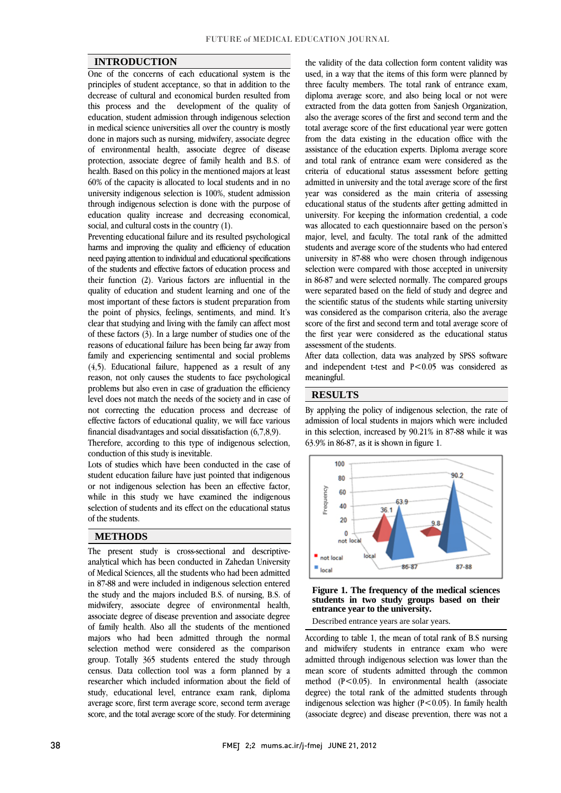### **INTRODUCTION**

 One of the concerns of each educational system is the principles of student acceptance, so that in addition to the this process and the development of the quality of education, student admission through indigenous selection in medical science universities all over the country is mostly done in majors such as nursing, midwifery, associate degree protection, associate degree of family health and B.S. of health. Based on this policy in the mentioned majors at least 60% of the capacity is allocated to local students and in no university indigenous selection is 100%, student admission education quality increase and decreasing economical, decrease of cultural and economical burden resulted from of environmental health, associate degree of disease through indigenous selection is done with the purpose of social, and cultural costs in the country (1).

 Preventing educational failure and its resulted psychological harms and improving the quality and efficiency of education of the students and effective factors of education process and their function (2). Various factors are influential in the quality of education and student learning and one of the most important of these factors is student preparation from clear that studying and living with the family can affect most of these factors (3). In a large number of studies one of the reasons of educational failure has been being far away from (4,5). Educational failure, happened as a result of any reason, not only causes the students to face psychological problems but also even in case of graduation the efficiency level does not match the needs of the society and in case of effective factors of educational quality, we will face various need paying attention to individual and educational specifications the point of physics, feelings, sentiments, and mind. It's family and experiencing sentimental and social problems not correcting the education process and decrease of financial disadvantages and social dissatisfaction (6,7,8,9).

 Therefore, according to this type of indigenous selection, conduction of this study is inevitable.

conduction of this study is inevitable.<br>Lots of studies which have been conducted in the case of student education failure have just pointed that indigenous or not indigenous selection has been an effective factor, while in this study we have examined the indigenous selection of students and its effect on the educational status  $\overline{a}$ of the students.

## **METHODS**

 The present study is cross-sectional and descriptive- analytical which has been conducted in Zahedan University in 87-88 and were included in indigenous selection entered the study and the majors included B.S. of nursing, B.S. of midwifery, associate degree of environmental health, associate degree of disease prevention and associate degree<br>of family health. Also all the students of the mentioned majors who had been admitted through the normal selection method were considered as the comparison group. Totally 365 students entered the study through researcher which included information about the field of study, educational level, entrance exam rank, diploma average score, first term average score, second term average score, and the total average score of the study. For determining of Medical Sciences, all the students who had been admitted associate degree of disease prevention and associate degree census. Data collection tool was a form planned by a

 used, in a way that the items of this form were planned by three faculty members. The total rank of entrance exam, extracted from the data gotten from Sanjesh Organization, also the average scores of the first and second term and the total average score of the first educational year were gotten from the data existing in the education office with the and total rank of entrance exam were considered as the criteria of educational status assessment before getting admitted in university and the total average score of the first year was considered as the main criteria of assessing university. For keeping the information credential, a code was allocated to each questionnaire based on the person's major, level, and faculty. The total rank of the admitted students and average score of the students who had entered<br>we increase in 27.00 rds a many above through indicates selection were compared with those accepted in university in 86-87 and were selected normally. The compared groups were separated based on the field of study and degree and was considered as the comparison criteria, also the average score of the first and second term and total average score of the first year were considered as the educational status the validity of the data collection form content validity was diploma average score, and also being local or not were assistance of the education experts. Diploma average score educational status of the students after getting admitted in university in 87-88 who were chosen through indigenous the scientific status of the students while starting university assessment of the students.

assessment of the students.<br>After data collection, data was analyzed by SPSS software and independent t-test and  $P < 0.05$  was considered as meaningful.

j

### **RESULTS**

By applying the policy of indigenous selection, the rate of by applying the policy of indigenous selection, the rate of admission of local students in majors which were included in this selection, increased by 90.21% in 87-88 while it was 63.9% in 86-87, as it is shown in figure 1.



**Figure 1. The frequency of the medical sciences students in two study groups based on their entrance year to the university.** 

 According to table 1, the mean of total rank of B.S nursing and midwifery students in entrance exam who were admitted through indigenous selection was lower than the method  $(P<0.05)$ . In environmental health (associate degree) the total rank of the admitted students through indigenous selection was higher ( $P < 0.05$ ). In family health (associate degree) and disease prevention, there was not a mean score of students admitted through the common

 $\overline{a}$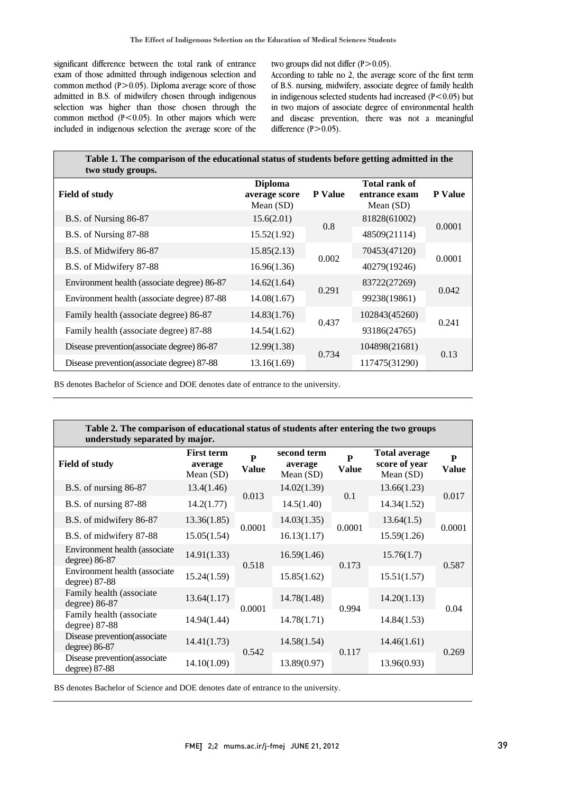significant difference between the total rank of entrance exam of those admitted through indigenous selection and common method (P>0.05). Diploma average score of those admitted in B.S. of midwifery chosen through indigenous common method  $(P<0.05)$ . In other majors which were included in indigenous selection the average score of the selection was higher than those chosen through the

two groups did not differ  $(P>0.05)$ .

 According to table no 2, the average score of the first term of B.S. nursing, midwifery, associate degree of family health in indigenous selected students had increased  $(P<0.05)$  but and disease prevention, there was not a meaningful in two majors of associate degree of environmental health difference  $(P>0.05)$ .

| Table 1. The comparison of the educational status of students before getting admitted in the<br>two study groups. |                                                                |       |                                               |                |  |  |  |  |
|-------------------------------------------------------------------------------------------------------------------|----------------------------------------------------------------|-------|-----------------------------------------------|----------------|--|--|--|--|
| <b>Field of study</b>                                                                                             | <b>Diploma</b><br><b>P</b> Value<br>average score<br>Mean (SD) |       | Total rank of<br>entrance exam<br>Mean $(SD)$ | <b>P</b> Value |  |  |  |  |
| B.S. of Nursing 86-87                                                                                             | 15.6(2.01)                                                     | 0.8   | 81828(61002)                                  |                |  |  |  |  |
| B.S. of Nursing 87-88                                                                                             | 15.52(1.92)                                                    |       | 48509(21114)                                  | 0.0001         |  |  |  |  |
| B.S. of Midwifery 86-87                                                                                           | 15.85(2.13)                                                    | 0.002 | 70453(47120)                                  | 0.0001         |  |  |  |  |
| B.S. of Midwifery 87-88                                                                                           | 16.96(1.36)                                                    |       | 40279(19246)                                  |                |  |  |  |  |
| Environment health (associate degree) 86-87                                                                       | 14.62(1.64)                                                    | 0.291 | 83722(27269)                                  | 0.042          |  |  |  |  |
| Environment health (associate degree) 87-88                                                                       | 14.08(1.67)                                                    |       | 99238(19861)                                  |                |  |  |  |  |
| Family health (associate degree) 86-87                                                                            | 14.83(1.76)                                                    |       | 102843(45260)                                 | 0.241          |  |  |  |  |
| Family health (associate degree) 87-88                                                                            | 14.54(1.62)                                                    | 0.437 | 93186(24765)                                  |                |  |  |  |  |
| Disease prevention (associate degree) 86-87                                                                       | 12.99(1.38)                                                    |       | 104898(21681)                                 | 0.13           |  |  |  |  |
| Disease prevention(associate degree) 87-88                                                                        | 13.16(1.69)                                                    | 0.734 | 117475(31290)                                 |                |  |  |  |  |
|                                                                                                                   |                                                                |       |                                               |                |  |  |  |  |

BS denotes Bachelor of Science and DOE denotes date of entrance to the university.

| Table 2. The comparison of educational status of students after entering the two groups<br>understudy separated by major. |                                             |                              |                                       |                              |                                                    |                   |  |  |
|---------------------------------------------------------------------------------------------------------------------------|---------------------------------------------|------------------------------|---------------------------------------|------------------------------|----------------------------------------------------|-------------------|--|--|
| <b>Field of study</b>                                                                                                     | <b>First term</b><br>average<br>Mean $(SD)$ | $\mathbf{p}$<br><b>Value</b> | second term<br>average<br>Mean $(SD)$ | $\mathbf{P}$<br><b>Value</b> | <b>Total average</b><br>score of year<br>Mean (SD) | P<br><b>Value</b> |  |  |
| B.S. of nursing 86-87                                                                                                     | 13.4(1.46)                                  | 0.013                        | 14.02(1.39)                           | 0.1                          | 13.66(1.23)                                        | 0.017             |  |  |
| B.S. of nursing 87-88                                                                                                     | 14.2(1.77)                                  |                              | 14.5(1.40)                            |                              | 14.34(1.52)                                        |                   |  |  |
| B.S. of midwifery 86-87                                                                                                   | 13.36(1.85)                                 | 0.0001                       | 14.03(1.35)                           | 0.0001                       | 13.64(1.5)                                         | 0.0001            |  |  |
| B.S. of midwifery 87-88                                                                                                   | 15.05(1.54)                                 |                              | 16.13(1.17)                           |                              | 15.59(1.26)                                        |                   |  |  |
| Environment health (associate<br>degree) 86-87                                                                            | 14.91(1.33)                                 | 0.518                        | 16.59(1.46)                           | 0.173                        | 15.76(1.7)                                         | 0.587             |  |  |
| Environment health (associate)<br>degree) 87-88                                                                           | 15.24(1.59)                                 |                              | 15.85(1.62)                           |                              | 15.51(1.57)                                        |                   |  |  |
| Family health (associate<br>degree) 86-87                                                                                 | 13.64(1.17)                                 | 0.0001                       | 14.78(1.48)                           | 0.994                        | 14.20(1.13)                                        | 0.04              |  |  |
| Family health (associate<br>degree) 87-88                                                                                 | 14.94(1.44)                                 |                              | 14.78(1.71)                           |                              | 14.84(1.53)                                        |                   |  |  |
| Disease prevention (associate<br>degree) 86-87                                                                            | 14.41(1.73)                                 | 0.542                        | 14.58(1.54)                           | 0.117                        | 14.46(1.61)                                        | 0.269             |  |  |
| Disease prevention (associate<br>degree) 87-88                                                                            | 14.10(1.09)                                 |                              | 13.89(0.97)                           |                              | 13.96(0.93)                                        |                   |  |  |

٦

BS denotes Bachelor of Science and DOE denotes date of entrance to the university.

I

I